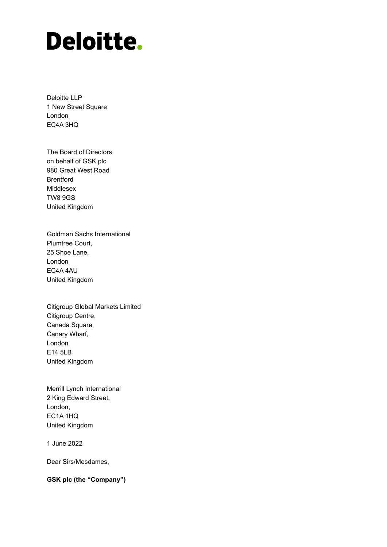# **Deloitte.**

Deloitte LLP 1 New Street Square London EC4A 3HQ

The Board of Directors on behalf of GSK plc 980 Great West Road Brentford Middlesex TW8 9GS United Kingdom

Goldman Sachs International Plumtree Court, 25 Shoe Lane, London EC4A 4AU United Kingdom

Citigroup Global Markets Limited Citigroup Centre, Canada Square, Canary Wharf, London E14 5LB United Kingdom

Merrill Lynch International 2 King Edward Street, London, EC1A 1HQ United Kingdom

1 June 2022

Dear Sirs/Mesdames,

**GSK plc (the "Company")**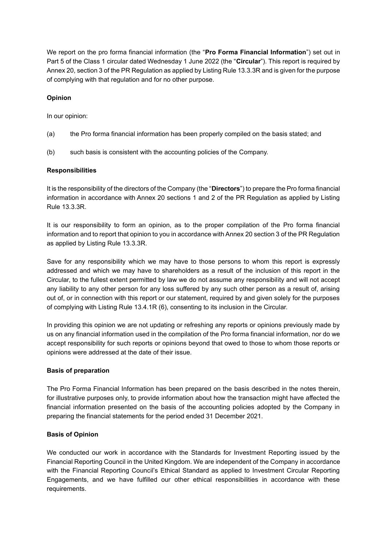We report on the pro forma financial information (the "**Pro Forma Financial Information**") set out in Part 5 of the Class 1 circular dated Wednesday 1 June 2022 (the "**Circular**"). This report is required by Annex 20, section 3 of the PR Regulation as applied by Listing Rule 13.3.3R and is given for the purpose of complying with that regulation and for no other purpose.

## **Opinion**

In our opinion:

- (a) the Pro forma financial information has been properly compiled on the basis stated; and
- (b) such basis is consistent with the accounting policies of the Company.

### **Responsibilities**

It is the responsibility of the directors of the Company (the "**Directors**") to prepare the Pro forma financial information in accordance with Annex 20 sections 1 and 2 of the PR Regulation as applied by Listing Rule 13.3.3R.

It is our responsibility to form an opinion, as to the proper compilation of the Pro forma financial information and to report that opinion to you in accordance with Annex 20 section 3 of the PR Regulation as applied by Listing Rule 13.3.3R.

Save for any responsibility which we may have to those persons to whom this report is expressly addressed and which we may have to shareholders as a result of the inclusion of this report in the Circular, to the fullest extent permitted by law we do not assume any responsibility and will not accept any liability to any other person for any loss suffered by any such other person as a result of, arising out of, or in connection with this report or our statement, required by and given solely for the purposes of complying with Listing Rule 13.4.1R (6), consenting to its inclusion in the Circular.

In providing this opinion we are not updating or refreshing any reports or opinions previously made by us on any financial information used in the compilation of the Pro forma financial information, nor do we accept responsibility for such reports or opinions beyond that owed to those to whom those reports or opinions were addressed at the date of their issue.

### **Basis of preparation**

The Pro Forma Financial Information has been prepared on the basis described in the notes therein, for illustrative purposes only, to provide information about how the transaction might have affected the financial information presented on the basis of the accounting policies adopted by the Company in preparing the financial statements for the period ended 31 December 2021.

### **Basis of Opinion**

We conducted our work in accordance with the Standards for Investment Reporting issued by the Financial Reporting Council in the United Kingdom. We are independent of the Company in accordance with the Financial Reporting Council's Ethical Standard as applied to Investment Circular Reporting Engagements, and we have fulfilled our other ethical responsibilities in accordance with these requirements.